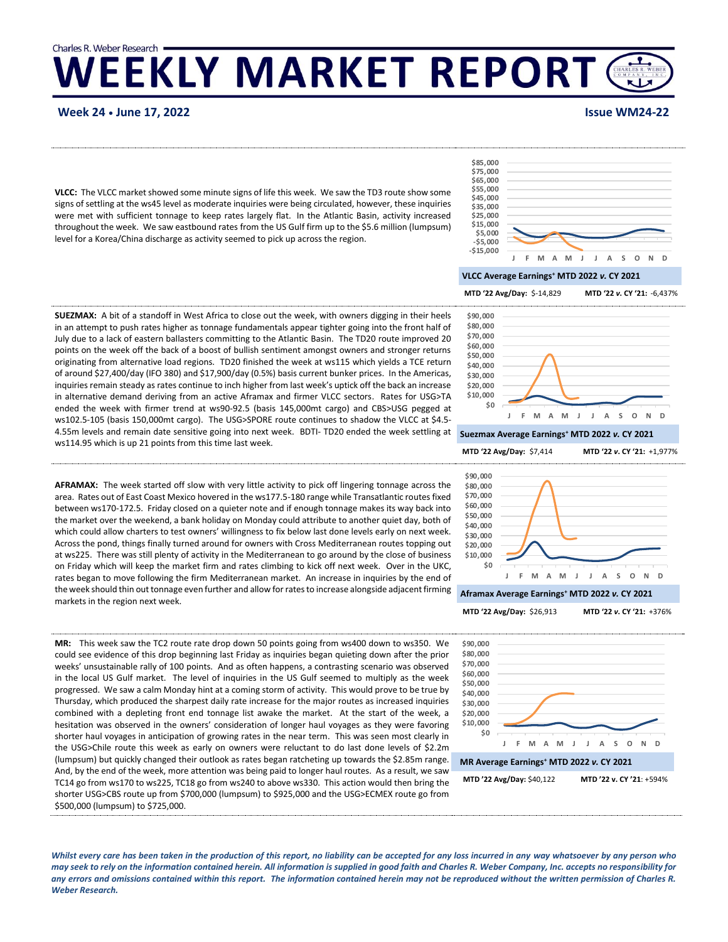# Charles R. Weber Research **WEEKLY MARKET REPORT**

**Week 24 • June 17, 2022 Issue WM24-22**

VLCC: The VLCC market showed some minute signs of life this week. We saw the TD3 route show some signs of settling at the ws45 level as moderate inquiries were being circulated, however, these inquiries were met with sufficient tonnage to keep rates largely flat. In the Atlantic Basin, activity increased throughout the week. We saw eastbound rates from the US Gulf firm up to the \$5.6 million (lumpsum) level for a Korea/China discharge as activity seemed to pick up across the region.



### **VLCC Average Earnings<sup>+</sup> MTD 2022** *v.* **CY 2021**

**MTD '22 Avg/Day:** \$-14,829 **MTD '22** *v***. CY '21**+**:** -6,437%

**\$0 \$10,000 \$20,000 \$30,000 \$40,000 \$50,000 \$60,000 \$70,000 \$80,000 \$90,000**

**SUEZMAX:** A bit of a standoff in West Africa to close out the week, with owners digging in their heels in an attempt to push rates higher as tonnage fundamentals appear tighter going into the front half of July due to a lack of eastern ballasters committing to the Atlantic Basin. The TD20 route improved 20 points on the week off the back of a boost of bullish sentiment amongst owners and stronger returns originating from alternative load regions. TD20 finished the week at ws115 which yields a TCE return of around \$27,400/day (IFO 380) and \$17,900/day (0.5%) basis current bunker prices. In the Americas, inquiries remain steady as rates continue to inch higher from last week's uptick off the back an increase in alternative demand deriving from an active Aframax and firmer VLCC sectors. Rates for USG>TA ended the week with firmer trend at ws90-92.5 (basis 145,000mt cargo) and CBS>USG pegged at ws102.5-105 (basis 150,000mt cargo). The USG>SPORE route continues to shadow the VLCC at \$4.5- 4.55m levels and remain date sensitive going into next week. BDTI- TD20 ended the week settling at ws114.95 which is up 21 points from this time last week.

**AFRAMAX:** The week started off slow with very little activity to pick off lingering tonnage across the area. Rates out of East Coast Mexico hovered in the ws177.5-180 range while Transatlantic routes fixed between ws170-172.5. Friday closed on a quieter note and if enough tonnage makes its way back into the market over the weekend, a bank holiday on Monday could attribute to another quiet day, both of which could allow charters to test owners' willingness to fix below last done levels early on next week. Across the pond, things finally turned around for owners with Cross Mediterranean routes topping out at ws225. There was still plenty of activity in the Mediterranean to go around by the close of business on Friday which will keep the market firm and rates climbing to kick off next week. Over in the UKC, rates began to move following the firm Mediterranean market. An increase in inquiries by the end of the week should thin out tonnage even further and allow for rates to increase alongside adjacent firming markets in the region next week.

**MR:** This week saw the TC2 route rate drop down 50 points going from ws400 down to ws350. We could see evidence of this drop beginning last Friday as inquiries began quieting down after the prior weeks' unsustainable rally of 100 points. And as often happens, a contrasting scenario was observed in the local US Gulf market. The level of inquiries in the US Gulf seemed to multiply as the week progressed. We saw a calm Monday hint at a coming storm of activity. This would prove to be true by Thursday, which produced the sharpest daily rate increase for the major routes as increased inquiries combined with a depleting front end tonnage list awake the market. At the start of the week, a hesitation was observed in the owners' consideration of longer haul voyages as they were favoring shorter haul voyages in anticipation of growing rates in the near term. This was seen most clearly in the USG>Chile route this week as early on owners were reluctant to do last done levels of \$2.2m (lumpsum) but quickly changed their outlook as rates began ratcheting up towards the \$2.85m range. And, by the end of the week, more attention was being paid to longer haul routes. As a result, we saw TC14 go from ws170 to ws225, TC18 go from ws240 to above ws330. This action would then bring the shorter USG>CBS route up from \$700,000 (lumpsum) to \$925,000 and the USG>ECMEX route go from \$500,000 (lumpsum) to \$725,000.



**Aframax Average Earnings<sup>+</sup> MTD 2022** *v.* **CY 2021**

**Suezmax Average Earnings<sup>+</sup> MTD 2022** *v.* **CY 2021**

**J F M A M J J A S O N D**



**MTD '22 Avg/Day:** \$26,913 **MTD '22** *v***. CY '21:** +376%







*Whilst every care has been taken in the production of this report, no liability can be accepted for any loss incurred in any way whatsoever by any person who may seek to rely on the information contained herein. All information is supplied in good faith and Charles R. Weber Company, Inc. accepts no responsibility for any errors and omissions contained within this report. The information contained herein may not be reproduced without the written permission of Charles R. Weber Research.*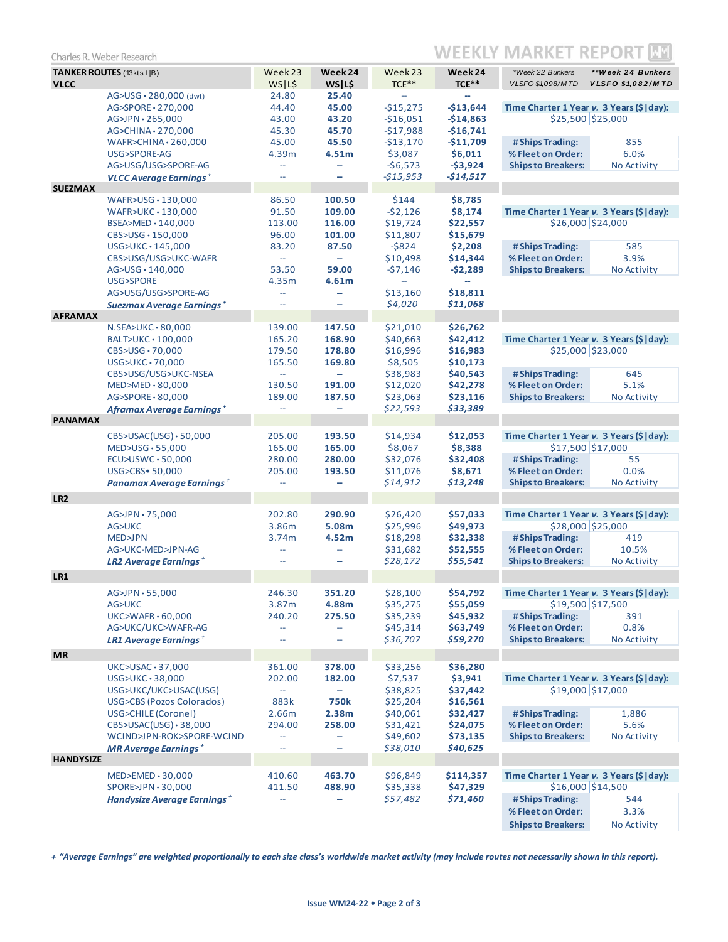| <b>TANKER ROUTES</b> (13kts L B)<br>Week 23<br>Week 24<br>Week 23<br>Week 24<br>*Week 22 Bunkers<br>**Week 24 Bunkers<br>$TCE***$<br>$TCE***$<br><b>VLCC</b><br>WS L\$<br>WS L\$<br>VLSFO \$1,098/MTD<br><b>VLSFO \$1,082/MTD</b><br>24.80<br>AG>USG · 280,000 (dwt)<br>25.40<br>$\overline{\phantom{a}}$<br>45.00<br>$-$15,275$<br>$-$13,644$<br>Time Charter 1 Year v. 3 Years (\$   day):<br>AG>SPORE · 270,000<br>44.40<br>\$25,500 \$25,000<br>AG>JPN · 265,000<br>43.00<br>43.20<br>$-$16,051$<br>$-$14,863$<br>45.70<br>$-$17,988$<br>$-$16,741$<br>45.30<br>$AG > CHINA \cdot 270,000$<br>$WAFR > CHINA \cdot 260,000$<br>45.00<br>45.50<br>$-$13,170$<br>$-$11,709$<br># Ships Trading:<br>855<br>\$3,087<br>\$6,011<br>% Fleet on Order:<br>6.0%<br>USG>SPORE-AG<br>4.39m<br>4.51 <sub>m</sub><br>$-56,573$<br>$-53,924$<br>AG>USG/USG>SPORE-AG<br><b>Ships to Breakers:</b><br>No Activity<br>$\overline{\phantom{a}}$<br>ш,<br>$-515,953$<br>$-514,517$<br><b>VLCC Average Earnings</b> <sup>+</sup><br>$\overline{a}$<br>$\overline{a}$<br><b>SUEZMAX</b><br>86.50<br>100.50<br>\$144<br>\$8,785<br>WAFR>USG · 130,000<br>91.50<br>$-52,126$<br>\$8,174<br>Time Charter 1 Year v. 3 Years (\$   day):<br>WAFR>UKC · 130,000<br>109.00<br>\$26,000 \$24,000<br>\$19,724<br>\$22,557<br>BSEA>MED $\cdot$ 140,000<br>113.00<br>116.00<br>CBS>USG · 150,000<br>96.00<br>101.00<br>\$11,807<br>\$15,679<br>$-5824$<br>$USG > UKC \cdot 145,000$<br>83.20<br>87.50<br>\$2,208<br># Ships Trading:<br>585<br>\$10,498<br>\$14,344<br>% Fleet on Order:<br>3.9%<br>CBS>USG/USG>UKC-WAFR<br>$\overline{\phantom{a}}$<br>Щ.<br>53.50<br>59.00<br>$-57,146$<br>$-52,289$<br><b>Ships to Breakers:</b><br>No Activity<br>AG>USG · 140,000<br><b>USG&gt;SPORE</b><br>4.35m<br>4.61m<br>$\overline{\phantom{a}}$<br>\$13,160<br>\$18,811<br>AG>USG/USG>SPORE-AG<br>ш,<br>$\overline{\phantom{m}}$<br>\$4,020<br>\$11,068<br>Suezmax Average Earnings <sup>+</sup><br>$\overline{\phantom{0}}$<br>$\overline{a}$<br><b>AFRAMAX</b><br>\$21,010<br>N.SEA>UKC · 80,000<br>139.00<br>147.50<br>\$26,762<br>165.20<br>\$40,663<br>\$42,412<br>Time Charter 1 Year v. 3 Years (\$   day):<br>BALT>UKC · 100,000<br>168.90<br>\$25,000 \$23,000<br>\$16,996<br>\$16,983<br>CBS>USG $\cdot$ 70,000<br>179.50<br>178.80<br>$USG > UKC \cdot 70,000$<br>165.50<br>169.80<br>\$8,505<br>\$10,173<br>\$38,983<br>\$40,543<br># Ships Trading:<br>645<br>CBS>USG/USG>UKC-NSEA<br>Ц.<br>$\overline{\phantom{a}}$<br>\$12,020<br>% Fleet on Order:<br>5.1%<br>130.50<br>191.00<br>\$42,278<br>$MED > MED \cdot 80,000$<br>AG>SPORE · 80,000<br>\$23,063<br>\$23,116<br><b>Ships to Breakers:</b><br>No Activity<br>189.00<br>187.50<br>\$22,593<br>\$33,389<br>Aframax Average Earnings <sup>+</sup><br>$\overline{\phantom{a}}$<br>Ξ.<br><b>PANAMAX</b><br>CBS>USAC(USG) · 50,000<br>205.00<br>193.50<br>\$14,934<br>\$12,053<br>Time Charter 1 Year v. 3 Years (\$   day):<br>165.00<br>\$8,067<br>\$8,388<br>\$17,500 \$17,000<br>$MED > USG \cdot 55,000$<br>165.00<br>\$32,076<br># Ships Trading:<br>55<br>ECU>USWC · 50,000<br>280.00<br>280.00<br>\$32,408<br>\$11,076<br>% Fleet on Order:<br>0.0%<br>USG>CBS• 50,000<br>205.00<br>193.50<br>\$8,671<br>\$14,912<br>\$13,248<br><b>Ships to Breakers:</b><br>No Activity<br>Panamax Average Earnings <sup>+</sup><br>LR <sub>2</sub><br>Time Charter 1 Year v. 3 Years (\$   day):<br>$AG > JPN \cdot 75,000$<br>202.80<br>290.90<br>\$26,420<br>\$57,033<br>\$28,000 \$25,000<br>5.08m<br>\$25,996<br>\$49,973<br>AG>UKC<br>3.86m<br># Ships Trading:<br>MED>JPN<br>4.52m<br>\$18,298<br>\$32,338<br>419<br>3.74m<br>% Fleet on Order:<br>10.5%<br>AG>UKC-MED>JPN-AG<br>\$31,682<br>\$52,555<br>--<br>$\hspace{0.05cm} \dashrightarrow$<br>\$28,172<br>\$55,541<br><b>Ships to Breakers:</b><br>No Activity<br><b>LR2 Average Earnings</b> $^+$<br>$\overline{a}$<br>--<br>LR1<br>\$28,100<br>\$54,792<br>$AG > JPN \cdot 55,000$<br>246.30<br>351.20<br>Time Charter 1 Year v. 3 Years (\$   day):<br>$$19,500$ $$17,500$<br>AG>UKC<br>4.88m<br>\$55,059<br>3.87m<br>\$35,275<br># Ships Trading:<br>$UKC>WAFR \cdot 60,000$<br>275.50<br>\$35,239<br>\$45,932<br>391<br>240.20<br>\$45,314<br>\$63,749<br>% Fleet on Order:<br>0.8%<br>AG>UKC/UKC>WAFR-AG<br>Щ,<br>4<br><b>Ships to Breakers:</b><br>\$36,707<br>\$59,270<br>No Activity<br>LR1 Average Earnings <sup>+</sup><br>$\overline{\phantom{a}}$<br>$\overline{\phantom{m}}$<br><b>MR</b><br>\$33,256<br>$UKC>USAC \cdot 37,000$<br>361.00<br>378.00<br>\$36,280<br>\$7,537<br>\$3,941<br>Time Charter 1 Year v. 3 Years (\$   day):<br>$USG > UKC \cdot 38,000$<br>202.00<br>182.00<br>\$19,000 \$17,000<br>USG>UKC/UKC>USAC(USG)<br>\$38,825<br>\$37,442<br>$\overline{\phantom{a}}$<br>$\sim$<br>USG>CBS (Pozos Colorados)<br>883k<br><b>750k</b><br>\$25,204<br>\$16,561<br>USG>CHILE (Coronel)<br>2.66m<br>2.38 <sub>m</sub><br>\$40,061<br>\$32,427<br># Ships Trading:<br>1,886<br>% Fleet on Order:<br>$CBS>USAC(USG) \cdot 38,000$<br>258.00<br>\$31,421<br>\$24,075<br>5.6%<br>294.00<br>WCIND>JPN-ROK>SPORE-WCIND<br>\$49,602<br>\$73,135<br><b>Ships to Breakers:</b><br>No Activity<br>$\overline{\phantom{a}}$<br>ш,<br>\$38,010<br>\$40,625<br><b>MR Average Earnings</b> <sup>+</sup><br>$\overline{\phantom{a}}$<br>ш,<br><b>HANDYSIZE</b><br>$MED > EMED \cdot 30,000$<br>410.60<br>463.70<br>\$96,849<br>Time Charter 1 Year v. 3 Years (\$   day):<br>\$114,357<br>$$16,000$ $$14,500$<br>$SPORE > JPN \cdot 30,000$<br>488.90<br>\$35,338<br>\$47,329<br>411.50<br>\$57,482<br>\$71,460<br># Ships Trading:<br>544<br>Handysize Average Earnings <sup>+</sup><br>$\overline{\phantom{m}}$<br>н,<br>% Fleet on Order:<br>3.3% | WEEKLY MARKET REPOR'<br>Charles R. Weber Research |  |  |  |  |  |                           |             |  |
|--------------------------------------------------------------------------------------------------------------------------------------------------------------------------------------------------------------------------------------------------------------------------------------------------------------------------------------------------------------------------------------------------------------------------------------------------------------------------------------------------------------------------------------------------------------------------------------------------------------------------------------------------------------------------------------------------------------------------------------------------------------------------------------------------------------------------------------------------------------------------------------------------------------------------------------------------------------------------------------------------------------------------------------------------------------------------------------------------------------------------------------------------------------------------------------------------------------------------------------------------------------------------------------------------------------------------------------------------------------------------------------------------------------------------------------------------------------------------------------------------------------------------------------------------------------------------------------------------------------------------------------------------------------------------------------------------------------------------------------------------------------------------------------------------------------------------------------------------------------------------------------------------------------------------------------------------------------------------------------------------------------------------------------------------------------------------------------------------------------------------------------------------------------------------------------------------------------------------------------------------------------------------------------------------------------------------------------------------------------------------------------------------------------------------------------------------------------------------------------------------------------------------------------------------------------------------------------------------------------------------------------------------------------------------------------------------------------------------------------------------------------------------------------------------------------------------------------------------------------------------------------------------------------------------------------------------------------------------------------------------------------------------------------------------------------------------------------------------------------------------------------------------------------------------------------------------------------------------------------------------------------------------------------------------------------------------------------------------------------------------------------------------------------------------------------------------------------------------------------------------------------------------------------------------------------------------------------------------------------------------------------------------------------------------------------------------------------------------------------------------------------------------------------------------------------------------------------------------------------------------------------------------------------------------------------------------------------------------------------------------------------------------------------------------------------------------------------------------------------------------------------------------------------------------------------------------------------------------------------------------------------------------------------------------------------------------------------------------------------------------------------------------------------------------------------------------------------------------------------------------------------------------------------------------------------------------------------------------------------------------------------------------------------------------------------------------------------------------------------------------------------------------------------------------------------------------------------------------------------------------------------------------------------------------------------------------------------------------------------------------------------------------------------------------------------------------------------------------------------------------------------------------------------------------------------------------------------------------------------------------------------------------------------------------------------------------------------------------------------------------------------------------------------------------------------------------------------------------------------------------------------------------------------------------------------------------------------------------------------------------------------------------------------------------------------------------------------------------------------------------------|---------------------------------------------------|--|--|--|--|--|---------------------------|-------------|--|
|                                                                                                                                                                                                                                                                                                                                                                                                                                                                                                                                                                                                                                                                                                                                                                                                                                                                                                                                                                                                                                                                                                                                                                                                                                                                                                                                                                                                                                                                                                                                                                                                                                                                                                                                                                                                                                                                                                                                                                                                                                                                                                                                                                                                                                                                                                                                                                                                                                                                                                                                                                                                                                                                                                                                                                                                                                                                                                                                                                                                                                                                                                                                                                                                                                                                                                                                                                                                                                                                                                                                                                                                                                                                                                                                                                                                                                                                                                                                                                                                                                                                                                                                                                                                                                                                                                                                                                                                                                                                                                                                                                                                                                                                                                                                                                                                                                                                                                                                                                                                                                                                                                                                                                                                                                                                                                                                                                                                                                                                                                                                                                                                                                                                                                                                                        |                                                   |  |  |  |  |  |                           |             |  |
|                                                                                                                                                                                                                                                                                                                                                                                                                                                                                                                                                                                                                                                                                                                                                                                                                                                                                                                                                                                                                                                                                                                                                                                                                                                                                                                                                                                                                                                                                                                                                                                                                                                                                                                                                                                                                                                                                                                                                                                                                                                                                                                                                                                                                                                                                                                                                                                                                                                                                                                                                                                                                                                                                                                                                                                                                                                                                                                                                                                                                                                                                                                                                                                                                                                                                                                                                                                                                                                                                                                                                                                                                                                                                                                                                                                                                                                                                                                                                                                                                                                                                                                                                                                                                                                                                                                                                                                                                                                                                                                                                                                                                                                                                                                                                                                                                                                                                                                                                                                                                                                                                                                                                                                                                                                                                                                                                                                                                                                                                                                                                                                                                                                                                                                                                        |                                                   |  |  |  |  |  |                           |             |  |
|                                                                                                                                                                                                                                                                                                                                                                                                                                                                                                                                                                                                                                                                                                                                                                                                                                                                                                                                                                                                                                                                                                                                                                                                                                                                                                                                                                                                                                                                                                                                                                                                                                                                                                                                                                                                                                                                                                                                                                                                                                                                                                                                                                                                                                                                                                                                                                                                                                                                                                                                                                                                                                                                                                                                                                                                                                                                                                                                                                                                                                                                                                                                                                                                                                                                                                                                                                                                                                                                                                                                                                                                                                                                                                                                                                                                                                                                                                                                                                                                                                                                                                                                                                                                                                                                                                                                                                                                                                                                                                                                                                                                                                                                                                                                                                                                                                                                                                                                                                                                                                                                                                                                                                                                                                                                                                                                                                                                                                                                                                                                                                                                                                                                                                                                                        |                                                   |  |  |  |  |  |                           |             |  |
|                                                                                                                                                                                                                                                                                                                                                                                                                                                                                                                                                                                                                                                                                                                                                                                                                                                                                                                                                                                                                                                                                                                                                                                                                                                                                                                                                                                                                                                                                                                                                                                                                                                                                                                                                                                                                                                                                                                                                                                                                                                                                                                                                                                                                                                                                                                                                                                                                                                                                                                                                                                                                                                                                                                                                                                                                                                                                                                                                                                                                                                                                                                                                                                                                                                                                                                                                                                                                                                                                                                                                                                                                                                                                                                                                                                                                                                                                                                                                                                                                                                                                                                                                                                                                                                                                                                                                                                                                                                                                                                                                                                                                                                                                                                                                                                                                                                                                                                                                                                                                                                                                                                                                                                                                                                                                                                                                                                                                                                                                                                                                                                                                                                                                                                                                        |                                                   |  |  |  |  |  |                           |             |  |
|                                                                                                                                                                                                                                                                                                                                                                                                                                                                                                                                                                                                                                                                                                                                                                                                                                                                                                                                                                                                                                                                                                                                                                                                                                                                                                                                                                                                                                                                                                                                                                                                                                                                                                                                                                                                                                                                                                                                                                                                                                                                                                                                                                                                                                                                                                                                                                                                                                                                                                                                                                                                                                                                                                                                                                                                                                                                                                                                                                                                                                                                                                                                                                                                                                                                                                                                                                                                                                                                                                                                                                                                                                                                                                                                                                                                                                                                                                                                                                                                                                                                                                                                                                                                                                                                                                                                                                                                                                                                                                                                                                                                                                                                                                                                                                                                                                                                                                                                                                                                                                                                                                                                                                                                                                                                                                                                                                                                                                                                                                                                                                                                                                                                                                                                                        |                                                   |  |  |  |  |  |                           |             |  |
|                                                                                                                                                                                                                                                                                                                                                                                                                                                                                                                                                                                                                                                                                                                                                                                                                                                                                                                                                                                                                                                                                                                                                                                                                                                                                                                                                                                                                                                                                                                                                                                                                                                                                                                                                                                                                                                                                                                                                                                                                                                                                                                                                                                                                                                                                                                                                                                                                                                                                                                                                                                                                                                                                                                                                                                                                                                                                                                                                                                                                                                                                                                                                                                                                                                                                                                                                                                                                                                                                                                                                                                                                                                                                                                                                                                                                                                                                                                                                                                                                                                                                                                                                                                                                                                                                                                                                                                                                                                                                                                                                                                                                                                                                                                                                                                                                                                                                                                                                                                                                                                                                                                                                                                                                                                                                                                                                                                                                                                                                                                                                                                                                                                                                                                                                        |                                                   |  |  |  |  |  |                           |             |  |
|                                                                                                                                                                                                                                                                                                                                                                                                                                                                                                                                                                                                                                                                                                                                                                                                                                                                                                                                                                                                                                                                                                                                                                                                                                                                                                                                                                                                                                                                                                                                                                                                                                                                                                                                                                                                                                                                                                                                                                                                                                                                                                                                                                                                                                                                                                                                                                                                                                                                                                                                                                                                                                                                                                                                                                                                                                                                                                                                                                                                                                                                                                                                                                                                                                                                                                                                                                                                                                                                                                                                                                                                                                                                                                                                                                                                                                                                                                                                                                                                                                                                                                                                                                                                                                                                                                                                                                                                                                                                                                                                                                                                                                                                                                                                                                                                                                                                                                                                                                                                                                                                                                                                                                                                                                                                                                                                                                                                                                                                                                                                                                                                                                                                                                                                                        |                                                   |  |  |  |  |  |                           |             |  |
|                                                                                                                                                                                                                                                                                                                                                                                                                                                                                                                                                                                                                                                                                                                                                                                                                                                                                                                                                                                                                                                                                                                                                                                                                                                                                                                                                                                                                                                                                                                                                                                                                                                                                                                                                                                                                                                                                                                                                                                                                                                                                                                                                                                                                                                                                                                                                                                                                                                                                                                                                                                                                                                                                                                                                                                                                                                                                                                                                                                                                                                                                                                                                                                                                                                                                                                                                                                                                                                                                                                                                                                                                                                                                                                                                                                                                                                                                                                                                                                                                                                                                                                                                                                                                                                                                                                                                                                                                                                                                                                                                                                                                                                                                                                                                                                                                                                                                                                                                                                                                                                                                                                                                                                                                                                                                                                                                                                                                                                                                                                                                                                                                                                                                                                                                        |                                                   |  |  |  |  |  |                           |             |  |
|                                                                                                                                                                                                                                                                                                                                                                                                                                                                                                                                                                                                                                                                                                                                                                                                                                                                                                                                                                                                                                                                                                                                                                                                                                                                                                                                                                                                                                                                                                                                                                                                                                                                                                                                                                                                                                                                                                                                                                                                                                                                                                                                                                                                                                                                                                                                                                                                                                                                                                                                                                                                                                                                                                                                                                                                                                                                                                                                                                                                                                                                                                                                                                                                                                                                                                                                                                                                                                                                                                                                                                                                                                                                                                                                                                                                                                                                                                                                                                                                                                                                                                                                                                                                                                                                                                                                                                                                                                                                                                                                                                                                                                                                                                                                                                                                                                                                                                                                                                                                                                                                                                                                                                                                                                                                                                                                                                                                                                                                                                                                                                                                                                                                                                                                                        |                                                   |  |  |  |  |  |                           |             |  |
|                                                                                                                                                                                                                                                                                                                                                                                                                                                                                                                                                                                                                                                                                                                                                                                                                                                                                                                                                                                                                                                                                                                                                                                                                                                                                                                                                                                                                                                                                                                                                                                                                                                                                                                                                                                                                                                                                                                                                                                                                                                                                                                                                                                                                                                                                                                                                                                                                                                                                                                                                                                                                                                                                                                                                                                                                                                                                                                                                                                                                                                                                                                                                                                                                                                                                                                                                                                                                                                                                                                                                                                                                                                                                                                                                                                                                                                                                                                                                                                                                                                                                                                                                                                                                                                                                                                                                                                                                                                                                                                                                                                                                                                                                                                                                                                                                                                                                                                                                                                                                                                                                                                                                                                                                                                                                                                                                                                                                                                                                                                                                                                                                                                                                                                                                        |                                                   |  |  |  |  |  |                           |             |  |
|                                                                                                                                                                                                                                                                                                                                                                                                                                                                                                                                                                                                                                                                                                                                                                                                                                                                                                                                                                                                                                                                                                                                                                                                                                                                                                                                                                                                                                                                                                                                                                                                                                                                                                                                                                                                                                                                                                                                                                                                                                                                                                                                                                                                                                                                                                                                                                                                                                                                                                                                                                                                                                                                                                                                                                                                                                                                                                                                                                                                                                                                                                                                                                                                                                                                                                                                                                                                                                                                                                                                                                                                                                                                                                                                                                                                                                                                                                                                                                                                                                                                                                                                                                                                                                                                                                                                                                                                                                                                                                                                                                                                                                                                                                                                                                                                                                                                                                                                                                                                                                                                                                                                                                                                                                                                                                                                                                                                                                                                                                                                                                                                                                                                                                                                                        |                                                   |  |  |  |  |  |                           |             |  |
|                                                                                                                                                                                                                                                                                                                                                                                                                                                                                                                                                                                                                                                                                                                                                                                                                                                                                                                                                                                                                                                                                                                                                                                                                                                                                                                                                                                                                                                                                                                                                                                                                                                                                                                                                                                                                                                                                                                                                                                                                                                                                                                                                                                                                                                                                                                                                                                                                                                                                                                                                                                                                                                                                                                                                                                                                                                                                                                                                                                                                                                                                                                                                                                                                                                                                                                                                                                                                                                                                                                                                                                                                                                                                                                                                                                                                                                                                                                                                                                                                                                                                                                                                                                                                                                                                                                                                                                                                                                                                                                                                                                                                                                                                                                                                                                                                                                                                                                                                                                                                                                                                                                                                                                                                                                                                                                                                                                                                                                                                                                                                                                                                                                                                                                                                        |                                                   |  |  |  |  |  |                           |             |  |
|                                                                                                                                                                                                                                                                                                                                                                                                                                                                                                                                                                                                                                                                                                                                                                                                                                                                                                                                                                                                                                                                                                                                                                                                                                                                                                                                                                                                                                                                                                                                                                                                                                                                                                                                                                                                                                                                                                                                                                                                                                                                                                                                                                                                                                                                                                                                                                                                                                                                                                                                                                                                                                                                                                                                                                                                                                                                                                                                                                                                                                                                                                                                                                                                                                                                                                                                                                                                                                                                                                                                                                                                                                                                                                                                                                                                                                                                                                                                                                                                                                                                                                                                                                                                                                                                                                                                                                                                                                                                                                                                                                                                                                                                                                                                                                                                                                                                                                                                                                                                                                                                                                                                                                                                                                                                                                                                                                                                                                                                                                                                                                                                                                                                                                                                                        |                                                   |  |  |  |  |  |                           |             |  |
|                                                                                                                                                                                                                                                                                                                                                                                                                                                                                                                                                                                                                                                                                                                                                                                                                                                                                                                                                                                                                                                                                                                                                                                                                                                                                                                                                                                                                                                                                                                                                                                                                                                                                                                                                                                                                                                                                                                                                                                                                                                                                                                                                                                                                                                                                                                                                                                                                                                                                                                                                                                                                                                                                                                                                                                                                                                                                                                                                                                                                                                                                                                                                                                                                                                                                                                                                                                                                                                                                                                                                                                                                                                                                                                                                                                                                                                                                                                                                                                                                                                                                                                                                                                                                                                                                                                                                                                                                                                                                                                                                                                                                                                                                                                                                                                                                                                                                                                                                                                                                                                                                                                                                                                                                                                                                                                                                                                                                                                                                                                                                                                                                                                                                                                                                        |                                                   |  |  |  |  |  |                           |             |  |
|                                                                                                                                                                                                                                                                                                                                                                                                                                                                                                                                                                                                                                                                                                                                                                                                                                                                                                                                                                                                                                                                                                                                                                                                                                                                                                                                                                                                                                                                                                                                                                                                                                                                                                                                                                                                                                                                                                                                                                                                                                                                                                                                                                                                                                                                                                                                                                                                                                                                                                                                                                                                                                                                                                                                                                                                                                                                                                                                                                                                                                                                                                                                                                                                                                                                                                                                                                                                                                                                                                                                                                                                                                                                                                                                                                                                                                                                                                                                                                                                                                                                                                                                                                                                                                                                                                                                                                                                                                                                                                                                                                                                                                                                                                                                                                                                                                                                                                                                                                                                                                                                                                                                                                                                                                                                                                                                                                                                                                                                                                                                                                                                                                                                                                                                                        |                                                   |  |  |  |  |  |                           |             |  |
|                                                                                                                                                                                                                                                                                                                                                                                                                                                                                                                                                                                                                                                                                                                                                                                                                                                                                                                                                                                                                                                                                                                                                                                                                                                                                                                                                                                                                                                                                                                                                                                                                                                                                                                                                                                                                                                                                                                                                                                                                                                                                                                                                                                                                                                                                                                                                                                                                                                                                                                                                                                                                                                                                                                                                                                                                                                                                                                                                                                                                                                                                                                                                                                                                                                                                                                                                                                                                                                                                                                                                                                                                                                                                                                                                                                                                                                                                                                                                                                                                                                                                                                                                                                                                                                                                                                                                                                                                                                                                                                                                                                                                                                                                                                                                                                                                                                                                                                                                                                                                                                                                                                                                                                                                                                                                                                                                                                                                                                                                                                                                                                                                                                                                                                                                        |                                                   |  |  |  |  |  |                           |             |  |
|                                                                                                                                                                                                                                                                                                                                                                                                                                                                                                                                                                                                                                                                                                                                                                                                                                                                                                                                                                                                                                                                                                                                                                                                                                                                                                                                                                                                                                                                                                                                                                                                                                                                                                                                                                                                                                                                                                                                                                                                                                                                                                                                                                                                                                                                                                                                                                                                                                                                                                                                                                                                                                                                                                                                                                                                                                                                                                                                                                                                                                                                                                                                                                                                                                                                                                                                                                                                                                                                                                                                                                                                                                                                                                                                                                                                                                                                                                                                                                                                                                                                                                                                                                                                                                                                                                                                                                                                                                                                                                                                                                                                                                                                                                                                                                                                                                                                                                                                                                                                                                                                                                                                                                                                                                                                                                                                                                                                                                                                                                                                                                                                                                                                                                                                                        |                                                   |  |  |  |  |  |                           |             |  |
|                                                                                                                                                                                                                                                                                                                                                                                                                                                                                                                                                                                                                                                                                                                                                                                                                                                                                                                                                                                                                                                                                                                                                                                                                                                                                                                                                                                                                                                                                                                                                                                                                                                                                                                                                                                                                                                                                                                                                                                                                                                                                                                                                                                                                                                                                                                                                                                                                                                                                                                                                                                                                                                                                                                                                                                                                                                                                                                                                                                                                                                                                                                                                                                                                                                                                                                                                                                                                                                                                                                                                                                                                                                                                                                                                                                                                                                                                                                                                                                                                                                                                                                                                                                                                                                                                                                                                                                                                                                                                                                                                                                                                                                                                                                                                                                                                                                                                                                                                                                                                                                                                                                                                                                                                                                                                                                                                                                                                                                                                                                                                                                                                                                                                                                                                        |                                                   |  |  |  |  |  |                           |             |  |
|                                                                                                                                                                                                                                                                                                                                                                                                                                                                                                                                                                                                                                                                                                                                                                                                                                                                                                                                                                                                                                                                                                                                                                                                                                                                                                                                                                                                                                                                                                                                                                                                                                                                                                                                                                                                                                                                                                                                                                                                                                                                                                                                                                                                                                                                                                                                                                                                                                                                                                                                                                                                                                                                                                                                                                                                                                                                                                                                                                                                                                                                                                                                                                                                                                                                                                                                                                                                                                                                                                                                                                                                                                                                                                                                                                                                                                                                                                                                                                                                                                                                                                                                                                                                                                                                                                                                                                                                                                                                                                                                                                                                                                                                                                                                                                                                                                                                                                                                                                                                                                                                                                                                                                                                                                                                                                                                                                                                                                                                                                                                                                                                                                                                                                                                                        |                                                   |  |  |  |  |  |                           |             |  |
|                                                                                                                                                                                                                                                                                                                                                                                                                                                                                                                                                                                                                                                                                                                                                                                                                                                                                                                                                                                                                                                                                                                                                                                                                                                                                                                                                                                                                                                                                                                                                                                                                                                                                                                                                                                                                                                                                                                                                                                                                                                                                                                                                                                                                                                                                                                                                                                                                                                                                                                                                                                                                                                                                                                                                                                                                                                                                                                                                                                                                                                                                                                                                                                                                                                                                                                                                                                                                                                                                                                                                                                                                                                                                                                                                                                                                                                                                                                                                                                                                                                                                                                                                                                                                                                                                                                                                                                                                                                                                                                                                                                                                                                                                                                                                                                                                                                                                                                                                                                                                                                                                                                                                                                                                                                                                                                                                                                                                                                                                                                                                                                                                                                                                                                                                        |                                                   |  |  |  |  |  |                           |             |  |
|                                                                                                                                                                                                                                                                                                                                                                                                                                                                                                                                                                                                                                                                                                                                                                                                                                                                                                                                                                                                                                                                                                                                                                                                                                                                                                                                                                                                                                                                                                                                                                                                                                                                                                                                                                                                                                                                                                                                                                                                                                                                                                                                                                                                                                                                                                                                                                                                                                                                                                                                                                                                                                                                                                                                                                                                                                                                                                                                                                                                                                                                                                                                                                                                                                                                                                                                                                                                                                                                                                                                                                                                                                                                                                                                                                                                                                                                                                                                                                                                                                                                                                                                                                                                                                                                                                                                                                                                                                                                                                                                                                                                                                                                                                                                                                                                                                                                                                                                                                                                                                                                                                                                                                                                                                                                                                                                                                                                                                                                                                                                                                                                                                                                                                                                                        |                                                   |  |  |  |  |  |                           |             |  |
|                                                                                                                                                                                                                                                                                                                                                                                                                                                                                                                                                                                                                                                                                                                                                                                                                                                                                                                                                                                                                                                                                                                                                                                                                                                                                                                                                                                                                                                                                                                                                                                                                                                                                                                                                                                                                                                                                                                                                                                                                                                                                                                                                                                                                                                                                                                                                                                                                                                                                                                                                                                                                                                                                                                                                                                                                                                                                                                                                                                                                                                                                                                                                                                                                                                                                                                                                                                                                                                                                                                                                                                                                                                                                                                                                                                                                                                                                                                                                                                                                                                                                                                                                                                                                                                                                                                                                                                                                                                                                                                                                                                                                                                                                                                                                                                                                                                                                                                                                                                                                                                                                                                                                                                                                                                                                                                                                                                                                                                                                                                                                                                                                                                                                                                                                        |                                                   |  |  |  |  |  |                           |             |  |
|                                                                                                                                                                                                                                                                                                                                                                                                                                                                                                                                                                                                                                                                                                                                                                                                                                                                                                                                                                                                                                                                                                                                                                                                                                                                                                                                                                                                                                                                                                                                                                                                                                                                                                                                                                                                                                                                                                                                                                                                                                                                                                                                                                                                                                                                                                                                                                                                                                                                                                                                                                                                                                                                                                                                                                                                                                                                                                                                                                                                                                                                                                                                                                                                                                                                                                                                                                                                                                                                                                                                                                                                                                                                                                                                                                                                                                                                                                                                                                                                                                                                                                                                                                                                                                                                                                                                                                                                                                                                                                                                                                                                                                                                                                                                                                                                                                                                                                                                                                                                                                                                                                                                                                                                                                                                                                                                                                                                                                                                                                                                                                                                                                                                                                                                                        |                                                   |  |  |  |  |  |                           |             |  |
|                                                                                                                                                                                                                                                                                                                                                                                                                                                                                                                                                                                                                                                                                                                                                                                                                                                                                                                                                                                                                                                                                                                                                                                                                                                                                                                                                                                                                                                                                                                                                                                                                                                                                                                                                                                                                                                                                                                                                                                                                                                                                                                                                                                                                                                                                                                                                                                                                                                                                                                                                                                                                                                                                                                                                                                                                                                                                                                                                                                                                                                                                                                                                                                                                                                                                                                                                                                                                                                                                                                                                                                                                                                                                                                                                                                                                                                                                                                                                                                                                                                                                                                                                                                                                                                                                                                                                                                                                                                                                                                                                                                                                                                                                                                                                                                                                                                                                                                                                                                                                                                                                                                                                                                                                                                                                                                                                                                                                                                                                                                                                                                                                                                                                                                                                        |                                                   |  |  |  |  |  |                           |             |  |
|                                                                                                                                                                                                                                                                                                                                                                                                                                                                                                                                                                                                                                                                                                                                                                                                                                                                                                                                                                                                                                                                                                                                                                                                                                                                                                                                                                                                                                                                                                                                                                                                                                                                                                                                                                                                                                                                                                                                                                                                                                                                                                                                                                                                                                                                                                                                                                                                                                                                                                                                                                                                                                                                                                                                                                                                                                                                                                                                                                                                                                                                                                                                                                                                                                                                                                                                                                                                                                                                                                                                                                                                                                                                                                                                                                                                                                                                                                                                                                                                                                                                                                                                                                                                                                                                                                                                                                                                                                                                                                                                                                                                                                                                                                                                                                                                                                                                                                                                                                                                                                                                                                                                                                                                                                                                                                                                                                                                                                                                                                                                                                                                                                                                                                                                                        |                                                   |  |  |  |  |  |                           |             |  |
|                                                                                                                                                                                                                                                                                                                                                                                                                                                                                                                                                                                                                                                                                                                                                                                                                                                                                                                                                                                                                                                                                                                                                                                                                                                                                                                                                                                                                                                                                                                                                                                                                                                                                                                                                                                                                                                                                                                                                                                                                                                                                                                                                                                                                                                                                                                                                                                                                                                                                                                                                                                                                                                                                                                                                                                                                                                                                                                                                                                                                                                                                                                                                                                                                                                                                                                                                                                                                                                                                                                                                                                                                                                                                                                                                                                                                                                                                                                                                                                                                                                                                                                                                                                                                                                                                                                                                                                                                                                                                                                                                                                                                                                                                                                                                                                                                                                                                                                                                                                                                                                                                                                                                                                                                                                                                                                                                                                                                                                                                                                                                                                                                                                                                                                                                        |                                                   |  |  |  |  |  |                           |             |  |
|                                                                                                                                                                                                                                                                                                                                                                                                                                                                                                                                                                                                                                                                                                                                                                                                                                                                                                                                                                                                                                                                                                                                                                                                                                                                                                                                                                                                                                                                                                                                                                                                                                                                                                                                                                                                                                                                                                                                                                                                                                                                                                                                                                                                                                                                                                                                                                                                                                                                                                                                                                                                                                                                                                                                                                                                                                                                                                                                                                                                                                                                                                                                                                                                                                                                                                                                                                                                                                                                                                                                                                                                                                                                                                                                                                                                                                                                                                                                                                                                                                                                                                                                                                                                                                                                                                                                                                                                                                                                                                                                                                                                                                                                                                                                                                                                                                                                                                                                                                                                                                                                                                                                                                                                                                                                                                                                                                                                                                                                                                                                                                                                                                                                                                                                                        |                                                   |  |  |  |  |  |                           |             |  |
|                                                                                                                                                                                                                                                                                                                                                                                                                                                                                                                                                                                                                                                                                                                                                                                                                                                                                                                                                                                                                                                                                                                                                                                                                                                                                                                                                                                                                                                                                                                                                                                                                                                                                                                                                                                                                                                                                                                                                                                                                                                                                                                                                                                                                                                                                                                                                                                                                                                                                                                                                                                                                                                                                                                                                                                                                                                                                                                                                                                                                                                                                                                                                                                                                                                                                                                                                                                                                                                                                                                                                                                                                                                                                                                                                                                                                                                                                                                                                                                                                                                                                                                                                                                                                                                                                                                                                                                                                                                                                                                                                                                                                                                                                                                                                                                                                                                                                                                                                                                                                                                                                                                                                                                                                                                                                                                                                                                                                                                                                                                                                                                                                                                                                                                                                        |                                                   |  |  |  |  |  |                           |             |  |
|                                                                                                                                                                                                                                                                                                                                                                                                                                                                                                                                                                                                                                                                                                                                                                                                                                                                                                                                                                                                                                                                                                                                                                                                                                                                                                                                                                                                                                                                                                                                                                                                                                                                                                                                                                                                                                                                                                                                                                                                                                                                                                                                                                                                                                                                                                                                                                                                                                                                                                                                                                                                                                                                                                                                                                                                                                                                                                                                                                                                                                                                                                                                                                                                                                                                                                                                                                                                                                                                                                                                                                                                                                                                                                                                                                                                                                                                                                                                                                                                                                                                                                                                                                                                                                                                                                                                                                                                                                                                                                                                                                                                                                                                                                                                                                                                                                                                                                                                                                                                                                                                                                                                                                                                                                                                                                                                                                                                                                                                                                                                                                                                                                                                                                                                                        |                                                   |  |  |  |  |  |                           |             |  |
|                                                                                                                                                                                                                                                                                                                                                                                                                                                                                                                                                                                                                                                                                                                                                                                                                                                                                                                                                                                                                                                                                                                                                                                                                                                                                                                                                                                                                                                                                                                                                                                                                                                                                                                                                                                                                                                                                                                                                                                                                                                                                                                                                                                                                                                                                                                                                                                                                                                                                                                                                                                                                                                                                                                                                                                                                                                                                                                                                                                                                                                                                                                                                                                                                                                                                                                                                                                                                                                                                                                                                                                                                                                                                                                                                                                                                                                                                                                                                                                                                                                                                                                                                                                                                                                                                                                                                                                                                                                                                                                                                                                                                                                                                                                                                                                                                                                                                                                                                                                                                                                                                                                                                                                                                                                                                                                                                                                                                                                                                                                                                                                                                                                                                                                                                        |                                                   |  |  |  |  |  |                           |             |  |
|                                                                                                                                                                                                                                                                                                                                                                                                                                                                                                                                                                                                                                                                                                                                                                                                                                                                                                                                                                                                                                                                                                                                                                                                                                                                                                                                                                                                                                                                                                                                                                                                                                                                                                                                                                                                                                                                                                                                                                                                                                                                                                                                                                                                                                                                                                                                                                                                                                                                                                                                                                                                                                                                                                                                                                                                                                                                                                                                                                                                                                                                                                                                                                                                                                                                                                                                                                                                                                                                                                                                                                                                                                                                                                                                                                                                                                                                                                                                                                                                                                                                                                                                                                                                                                                                                                                                                                                                                                                                                                                                                                                                                                                                                                                                                                                                                                                                                                                                                                                                                                                                                                                                                                                                                                                                                                                                                                                                                                                                                                                                                                                                                                                                                                                                                        |                                                   |  |  |  |  |  |                           |             |  |
|                                                                                                                                                                                                                                                                                                                                                                                                                                                                                                                                                                                                                                                                                                                                                                                                                                                                                                                                                                                                                                                                                                                                                                                                                                                                                                                                                                                                                                                                                                                                                                                                                                                                                                                                                                                                                                                                                                                                                                                                                                                                                                                                                                                                                                                                                                                                                                                                                                                                                                                                                                                                                                                                                                                                                                                                                                                                                                                                                                                                                                                                                                                                                                                                                                                                                                                                                                                                                                                                                                                                                                                                                                                                                                                                                                                                                                                                                                                                                                                                                                                                                                                                                                                                                                                                                                                                                                                                                                                                                                                                                                                                                                                                                                                                                                                                                                                                                                                                                                                                                                                                                                                                                                                                                                                                                                                                                                                                                                                                                                                                                                                                                                                                                                                                                        |                                                   |  |  |  |  |  |                           |             |  |
|                                                                                                                                                                                                                                                                                                                                                                                                                                                                                                                                                                                                                                                                                                                                                                                                                                                                                                                                                                                                                                                                                                                                                                                                                                                                                                                                                                                                                                                                                                                                                                                                                                                                                                                                                                                                                                                                                                                                                                                                                                                                                                                                                                                                                                                                                                                                                                                                                                                                                                                                                                                                                                                                                                                                                                                                                                                                                                                                                                                                                                                                                                                                                                                                                                                                                                                                                                                                                                                                                                                                                                                                                                                                                                                                                                                                                                                                                                                                                                                                                                                                                                                                                                                                                                                                                                                                                                                                                                                                                                                                                                                                                                                                                                                                                                                                                                                                                                                                                                                                                                                                                                                                                                                                                                                                                                                                                                                                                                                                                                                                                                                                                                                                                                                                                        |                                                   |  |  |  |  |  |                           |             |  |
|                                                                                                                                                                                                                                                                                                                                                                                                                                                                                                                                                                                                                                                                                                                                                                                                                                                                                                                                                                                                                                                                                                                                                                                                                                                                                                                                                                                                                                                                                                                                                                                                                                                                                                                                                                                                                                                                                                                                                                                                                                                                                                                                                                                                                                                                                                                                                                                                                                                                                                                                                                                                                                                                                                                                                                                                                                                                                                                                                                                                                                                                                                                                                                                                                                                                                                                                                                                                                                                                                                                                                                                                                                                                                                                                                                                                                                                                                                                                                                                                                                                                                                                                                                                                                                                                                                                                                                                                                                                                                                                                                                                                                                                                                                                                                                                                                                                                                                                                                                                                                                                                                                                                                                                                                                                                                                                                                                                                                                                                                                                                                                                                                                                                                                                                                        |                                                   |  |  |  |  |  |                           |             |  |
|                                                                                                                                                                                                                                                                                                                                                                                                                                                                                                                                                                                                                                                                                                                                                                                                                                                                                                                                                                                                                                                                                                                                                                                                                                                                                                                                                                                                                                                                                                                                                                                                                                                                                                                                                                                                                                                                                                                                                                                                                                                                                                                                                                                                                                                                                                                                                                                                                                                                                                                                                                                                                                                                                                                                                                                                                                                                                                                                                                                                                                                                                                                                                                                                                                                                                                                                                                                                                                                                                                                                                                                                                                                                                                                                                                                                                                                                                                                                                                                                                                                                                                                                                                                                                                                                                                                                                                                                                                                                                                                                                                                                                                                                                                                                                                                                                                                                                                                                                                                                                                                                                                                                                                                                                                                                                                                                                                                                                                                                                                                                                                                                                                                                                                                                                        |                                                   |  |  |  |  |  |                           |             |  |
|                                                                                                                                                                                                                                                                                                                                                                                                                                                                                                                                                                                                                                                                                                                                                                                                                                                                                                                                                                                                                                                                                                                                                                                                                                                                                                                                                                                                                                                                                                                                                                                                                                                                                                                                                                                                                                                                                                                                                                                                                                                                                                                                                                                                                                                                                                                                                                                                                                                                                                                                                                                                                                                                                                                                                                                                                                                                                                                                                                                                                                                                                                                                                                                                                                                                                                                                                                                                                                                                                                                                                                                                                                                                                                                                                                                                                                                                                                                                                                                                                                                                                                                                                                                                                                                                                                                                                                                                                                                                                                                                                                                                                                                                                                                                                                                                                                                                                                                                                                                                                                                                                                                                                                                                                                                                                                                                                                                                                                                                                                                                                                                                                                                                                                                                                        |                                                   |  |  |  |  |  |                           |             |  |
|                                                                                                                                                                                                                                                                                                                                                                                                                                                                                                                                                                                                                                                                                                                                                                                                                                                                                                                                                                                                                                                                                                                                                                                                                                                                                                                                                                                                                                                                                                                                                                                                                                                                                                                                                                                                                                                                                                                                                                                                                                                                                                                                                                                                                                                                                                                                                                                                                                                                                                                                                                                                                                                                                                                                                                                                                                                                                                                                                                                                                                                                                                                                                                                                                                                                                                                                                                                                                                                                                                                                                                                                                                                                                                                                                                                                                                                                                                                                                                                                                                                                                                                                                                                                                                                                                                                                                                                                                                                                                                                                                                                                                                                                                                                                                                                                                                                                                                                                                                                                                                                                                                                                                                                                                                                                                                                                                                                                                                                                                                                                                                                                                                                                                                                                                        |                                                   |  |  |  |  |  |                           |             |  |
|                                                                                                                                                                                                                                                                                                                                                                                                                                                                                                                                                                                                                                                                                                                                                                                                                                                                                                                                                                                                                                                                                                                                                                                                                                                                                                                                                                                                                                                                                                                                                                                                                                                                                                                                                                                                                                                                                                                                                                                                                                                                                                                                                                                                                                                                                                                                                                                                                                                                                                                                                                                                                                                                                                                                                                                                                                                                                                                                                                                                                                                                                                                                                                                                                                                                                                                                                                                                                                                                                                                                                                                                                                                                                                                                                                                                                                                                                                                                                                                                                                                                                                                                                                                                                                                                                                                                                                                                                                                                                                                                                                                                                                                                                                                                                                                                                                                                                                                                                                                                                                                                                                                                                                                                                                                                                                                                                                                                                                                                                                                                                                                                                                                                                                                                                        |                                                   |  |  |  |  |  |                           |             |  |
|                                                                                                                                                                                                                                                                                                                                                                                                                                                                                                                                                                                                                                                                                                                                                                                                                                                                                                                                                                                                                                                                                                                                                                                                                                                                                                                                                                                                                                                                                                                                                                                                                                                                                                                                                                                                                                                                                                                                                                                                                                                                                                                                                                                                                                                                                                                                                                                                                                                                                                                                                                                                                                                                                                                                                                                                                                                                                                                                                                                                                                                                                                                                                                                                                                                                                                                                                                                                                                                                                                                                                                                                                                                                                                                                                                                                                                                                                                                                                                                                                                                                                                                                                                                                                                                                                                                                                                                                                                                                                                                                                                                                                                                                                                                                                                                                                                                                                                                                                                                                                                                                                                                                                                                                                                                                                                                                                                                                                                                                                                                                                                                                                                                                                                                                                        |                                                   |  |  |  |  |  |                           |             |  |
|                                                                                                                                                                                                                                                                                                                                                                                                                                                                                                                                                                                                                                                                                                                                                                                                                                                                                                                                                                                                                                                                                                                                                                                                                                                                                                                                                                                                                                                                                                                                                                                                                                                                                                                                                                                                                                                                                                                                                                                                                                                                                                                                                                                                                                                                                                                                                                                                                                                                                                                                                                                                                                                                                                                                                                                                                                                                                                                                                                                                                                                                                                                                                                                                                                                                                                                                                                                                                                                                                                                                                                                                                                                                                                                                                                                                                                                                                                                                                                                                                                                                                                                                                                                                                                                                                                                                                                                                                                                                                                                                                                                                                                                                                                                                                                                                                                                                                                                                                                                                                                                                                                                                                                                                                                                                                                                                                                                                                                                                                                                                                                                                                                                                                                                                                        |                                                   |  |  |  |  |  |                           |             |  |
|                                                                                                                                                                                                                                                                                                                                                                                                                                                                                                                                                                                                                                                                                                                                                                                                                                                                                                                                                                                                                                                                                                                                                                                                                                                                                                                                                                                                                                                                                                                                                                                                                                                                                                                                                                                                                                                                                                                                                                                                                                                                                                                                                                                                                                                                                                                                                                                                                                                                                                                                                                                                                                                                                                                                                                                                                                                                                                                                                                                                                                                                                                                                                                                                                                                                                                                                                                                                                                                                                                                                                                                                                                                                                                                                                                                                                                                                                                                                                                                                                                                                                                                                                                                                                                                                                                                                                                                                                                                                                                                                                                                                                                                                                                                                                                                                                                                                                                                                                                                                                                                                                                                                                                                                                                                                                                                                                                                                                                                                                                                                                                                                                                                                                                                                                        |                                                   |  |  |  |  |  |                           |             |  |
|                                                                                                                                                                                                                                                                                                                                                                                                                                                                                                                                                                                                                                                                                                                                                                                                                                                                                                                                                                                                                                                                                                                                                                                                                                                                                                                                                                                                                                                                                                                                                                                                                                                                                                                                                                                                                                                                                                                                                                                                                                                                                                                                                                                                                                                                                                                                                                                                                                                                                                                                                                                                                                                                                                                                                                                                                                                                                                                                                                                                                                                                                                                                                                                                                                                                                                                                                                                                                                                                                                                                                                                                                                                                                                                                                                                                                                                                                                                                                                                                                                                                                                                                                                                                                                                                                                                                                                                                                                                                                                                                                                                                                                                                                                                                                                                                                                                                                                                                                                                                                                                                                                                                                                                                                                                                                                                                                                                                                                                                                                                                                                                                                                                                                                                                                        |                                                   |  |  |  |  |  |                           |             |  |
|                                                                                                                                                                                                                                                                                                                                                                                                                                                                                                                                                                                                                                                                                                                                                                                                                                                                                                                                                                                                                                                                                                                                                                                                                                                                                                                                                                                                                                                                                                                                                                                                                                                                                                                                                                                                                                                                                                                                                                                                                                                                                                                                                                                                                                                                                                                                                                                                                                                                                                                                                                                                                                                                                                                                                                                                                                                                                                                                                                                                                                                                                                                                                                                                                                                                                                                                                                                                                                                                                                                                                                                                                                                                                                                                                                                                                                                                                                                                                                                                                                                                                                                                                                                                                                                                                                                                                                                                                                                                                                                                                                                                                                                                                                                                                                                                                                                                                                                                                                                                                                                                                                                                                                                                                                                                                                                                                                                                                                                                                                                                                                                                                                                                                                                                                        |                                                   |  |  |  |  |  |                           |             |  |
|                                                                                                                                                                                                                                                                                                                                                                                                                                                                                                                                                                                                                                                                                                                                                                                                                                                                                                                                                                                                                                                                                                                                                                                                                                                                                                                                                                                                                                                                                                                                                                                                                                                                                                                                                                                                                                                                                                                                                                                                                                                                                                                                                                                                                                                                                                                                                                                                                                                                                                                                                                                                                                                                                                                                                                                                                                                                                                                                                                                                                                                                                                                                                                                                                                                                                                                                                                                                                                                                                                                                                                                                                                                                                                                                                                                                                                                                                                                                                                                                                                                                                                                                                                                                                                                                                                                                                                                                                                                                                                                                                                                                                                                                                                                                                                                                                                                                                                                                                                                                                                                                                                                                                                                                                                                                                                                                                                                                                                                                                                                                                                                                                                                                                                                                                        |                                                   |  |  |  |  |  |                           |             |  |
|                                                                                                                                                                                                                                                                                                                                                                                                                                                                                                                                                                                                                                                                                                                                                                                                                                                                                                                                                                                                                                                                                                                                                                                                                                                                                                                                                                                                                                                                                                                                                                                                                                                                                                                                                                                                                                                                                                                                                                                                                                                                                                                                                                                                                                                                                                                                                                                                                                                                                                                                                                                                                                                                                                                                                                                                                                                                                                                                                                                                                                                                                                                                                                                                                                                                                                                                                                                                                                                                                                                                                                                                                                                                                                                                                                                                                                                                                                                                                                                                                                                                                                                                                                                                                                                                                                                                                                                                                                                                                                                                                                                                                                                                                                                                                                                                                                                                                                                                                                                                                                                                                                                                                                                                                                                                                                                                                                                                                                                                                                                                                                                                                                                                                                                                                        |                                                   |  |  |  |  |  |                           |             |  |
|                                                                                                                                                                                                                                                                                                                                                                                                                                                                                                                                                                                                                                                                                                                                                                                                                                                                                                                                                                                                                                                                                                                                                                                                                                                                                                                                                                                                                                                                                                                                                                                                                                                                                                                                                                                                                                                                                                                                                                                                                                                                                                                                                                                                                                                                                                                                                                                                                                                                                                                                                                                                                                                                                                                                                                                                                                                                                                                                                                                                                                                                                                                                                                                                                                                                                                                                                                                                                                                                                                                                                                                                                                                                                                                                                                                                                                                                                                                                                                                                                                                                                                                                                                                                                                                                                                                                                                                                                                                                                                                                                                                                                                                                                                                                                                                                                                                                                                                                                                                                                                                                                                                                                                                                                                                                                                                                                                                                                                                                                                                                                                                                                                                                                                                                                        |                                                   |  |  |  |  |  |                           |             |  |
|                                                                                                                                                                                                                                                                                                                                                                                                                                                                                                                                                                                                                                                                                                                                                                                                                                                                                                                                                                                                                                                                                                                                                                                                                                                                                                                                                                                                                                                                                                                                                                                                                                                                                                                                                                                                                                                                                                                                                                                                                                                                                                                                                                                                                                                                                                                                                                                                                                                                                                                                                                                                                                                                                                                                                                                                                                                                                                                                                                                                                                                                                                                                                                                                                                                                                                                                                                                                                                                                                                                                                                                                                                                                                                                                                                                                                                                                                                                                                                                                                                                                                                                                                                                                                                                                                                                                                                                                                                                                                                                                                                                                                                                                                                                                                                                                                                                                                                                                                                                                                                                                                                                                                                                                                                                                                                                                                                                                                                                                                                                                                                                                                                                                                                                                                        |                                                   |  |  |  |  |  |                           |             |  |
|                                                                                                                                                                                                                                                                                                                                                                                                                                                                                                                                                                                                                                                                                                                                                                                                                                                                                                                                                                                                                                                                                                                                                                                                                                                                                                                                                                                                                                                                                                                                                                                                                                                                                                                                                                                                                                                                                                                                                                                                                                                                                                                                                                                                                                                                                                                                                                                                                                                                                                                                                                                                                                                                                                                                                                                                                                                                                                                                                                                                                                                                                                                                                                                                                                                                                                                                                                                                                                                                                                                                                                                                                                                                                                                                                                                                                                                                                                                                                                                                                                                                                                                                                                                                                                                                                                                                                                                                                                                                                                                                                                                                                                                                                                                                                                                                                                                                                                                                                                                                                                                                                                                                                                                                                                                                                                                                                                                                                                                                                                                                                                                                                                                                                                                                                        |                                                   |  |  |  |  |  |                           |             |  |
|                                                                                                                                                                                                                                                                                                                                                                                                                                                                                                                                                                                                                                                                                                                                                                                                                                                                                                                                                                                                                                                                                                                                                                                                                                                                                                                                                                                                                                                                                                                                                                                                                                                                                                                                                                                                                                                                                                                                                                                                                                                                                                                                                                                                                                                                                                                                                                                                                                                                                                                                                                                                                                                                                                                                                                                                                                                                                                                                                                                                                                                                                                                                                                                                                                                                                                                                                                                                                                                                                                                                                                                                                                                                                                                                                                                                                                                                                                                                                                                                                                                                                                                                                                                                                                                                                                                                                                                                                                                                                                                                                                                                                                                                                                                                                                                                                                                                                                                                                                                                                                                                                                                                                                                                                                                                                                                                                                                                                                                                                                                                                                                                                                                                                                                                                        |                                                   |  |  |  |  |  |                           |             |  |
|                                                                                                                                                                                                                                                                                                                                                                                                                                                                                                                                                                                                                                                                                                                                                                                                                                                                                                                                                                                                                                                                                                                                                                                                                                                                                                                                                                                                                                                                                                                                                                                                                                                                                                                                                                                                                                                                                                                                                                                                                                                                                                                                                                                                                                                                                                                                                                                                                                                                                                                                                                                                                                                                                                                                                                                                                                                                                                                                                                                                                                                                                                                                                                                                                                                                                                                                                                                                                                                                                                                                                                                                                                                                                                                                                                                                                                                                                                                                                                                                                                                                                                                                                                                                                                                                                                                                                                                                                                                                                                                                                                                                                                                                                                                                                                                                                                                                                                                                                                                                                                                                                                                                                                                                                                                                                                                                                                                                                                                                                                                                                                                                                                                                                                                                                        |                                                   |  |  |  |  |  |                           |             |  |
|                                                                                                                                                                                                                                                                                                                                                                                                                                                                                                                                                                                                                                                                                                                                                                                                                                                                                                                                                                                                                                                                                                                                                                                                                                                                                                                                                                                                                                                                                                                                                                                                                                                                                                                                                                                                                                                                                                                                                                                                                                                                                                                                                                                                                                                                                                                                                                                                                                                                                                                                                                                                                                                                                                                                                                                                                                                                                                                                                                                                                                                                                                                                                                                                                                                                                                                                                                                                                                                                                                                                                                                                                                                                                                                                                                                                                                                                                                                                                                                                                                                                                                                                                                                                                                                                                                                                                                                                                                                                                                                                                                                                                                                                                                                                                                                                                                                                                                                                                                                                                                                                                                                                                                                                                                                                                                                                                                                                                                                                                                                                                                                                                                                                                                                                                        |                                                   |  |  |  |  |  |                           |             |  |
|                                                                                                                                                                                                                                                                                                                                                                                                                                                                                                                                                                                                                                                                                                                                                                                                                                                                                                                                                                                                                                                                                                                                                                                                                                                                                                                                                                                                                                                                                                                                                                                                                                                                                                                                                                                                                                                                                                                                                                                                                                                                                                                                                                                                                                                                                                                                                                                                                                                                                                                                                                                                                                                                                                                                                                                                                                                                                                                                                                                                                                                                                                                                                                                                                                                                                                                                                                                                                                                                                                                                                                                                                                                                                                                                                                                                                                                                                                                                                                                                                                                                                                                                                                                                                                                                                                                                                                                                                                                                                                                                                                                                                                                                                                                                                                                                                                                                                                                                                                                                                                                                                                                                                                                                                                                                                                                                                                                                                                                                                                                                                                                                                                                                                                                                                        |                                                   |  |  |  |  |  |                           |             |  |
|                                                                                                                                                                                                                                                                                                                                                                                                                                                                                                                                                                                                                                                                                                                                                                                                                                                                                                                                                                                                                                                                                                                                                                                                                                                                                                                                                                                                                                                                                                                                                                                                                                                                                                                                                                                                                                                                                                                                                                                                                                                                                                                                                                                                                                                                                                                                                                                                                                                                                                                                                                                                                                                                                                                                                                                                                                                                                                                                                                                                                                                                                                                                                                                                                                                                                                                                                                                                                                                                                                                                                                                                                                                                                                                                                                                                                                                                                                                                                                                                                                                                                                                                                                                                                                                                                                                                                                                                                                                                                                                                                                                                                                                                                                                                                                                                                                                                                                                                                                                                                                                                                                                                                                                                                                                                                                                                                                                                                                                                                                                                                                                                                                                                                                                                                        |                                                   |  |  |  |  |  |                           |             |  |
|                                                                                                                                                                                                                                                                                                                                                                                                                                                                                                                                                                                                                                                                                                                                                                                                                                                                                                                                                                                                                                                                                                                                                                                                                                                                                                                                                                                                                                                                                                                                                                                                                                                                                                                                                                                                                                                                                                                                                                                                                                                                                                                                                                                                                                                                                                                                                                                                                                                                                                                                                                                                                                                                                                                                                                                                                                                                                                                                                                                                                                                                                                                                                                                                                                                                                                                                                                                                                                                                                                                                                                                                                                                                                                                                                                                                                                                                                                                                                                                                                                                                                                                                                                                                                                                                                                                                                                                                                                                                                                                                                                                                                                                                                                                                                                                                                                                                                                                                                                                                                                                                                                                                                                                                                                                                                                                                                                                                                                                                                                                                                                                                                                                                                                                                                        |                                                   |  |  |  |  |  |                           |             |  |
|                                                                                                                                                                                                                                                                                                                                                                                                                                                                                                                                                                                                                                                                                                                                                                                                                                                                                                                                                                                                                                                                                                                                                                                                                                                                                                                                                                                                                                                                                                                                                                                                                                                                                                                                                                                                                                                                                                                                                                                                                                                                                                                                                                                                                                                                                                                                                                                                                                                                                                                                                                                                                                                                                                                                                                                                                                                                                                                                                                                                                                                                                                                                                                                                                                                                                                                                                                                                                                                                                                                                                                                                                                                                                                                                                                                                                                                                                                                                                                                                                                                                                                                                                                                                                                                                                                                                                                                                                                                                                                                                                                                                                                                                                                                                                                                                                                                                                                                                                                                                                                                                                                                                                                                                                                                                                                                                                                                                                                                                                                                                                                                                                                                                                                                                                        |                                                   |  |  |  |  |  |                           |             |  |
|                                                                                                                                                                                                                                                                                                                                                                                                                                                                                                                                                                                                                                                                                                                                                                                                                                                                                                                                                                                                                                                                                                                                                                                                                                                                                                                                                                                                                                                                                                                                                                                                                                                                                                                                                                                                                                                                                                                                                                                                                                                                                                                                                                                                                                                                                                                                                                                                                                                                                                                                                                                                                                                                                                                                                                                                                                                                                                                                                                                                                                                                                                                                                                                                                                                                                                                                                                                                                                                                                                                                                                                                                                                                                                                                                                                                                                                                                                                                                                                                                                                                                                                                                                                                                                                                                                                                                                                                                                                                                                                                                                                                                                                                                                                                                                                                                                                                                                                                                                                                                                                                                                                                                                                                                                                                                                                                                                                                                                                                                                                                                                                                                                                                                                                                                        |                                                   |  |  |  |  |  |                           |             |  |
|                                                                                                                                                                                                                                                                                                                                                                                                                                                                                                                                                                                                                                                                                                                                                                                                                                                                                                                                                                                                                                                                                                                                                                                                                                                                                                                                                                                                                                                                                                                                                                                                                                                                                                                                                                                                                                                                                                                                                                                                                                                                                                                                                                                                                                                                                                                                                                                                                                                                                                                                                                                                                                                                                                                                                                                                                                                                                                                                                                                                                                                                                                                                                                                                                                                                                                                                                                                                                                                                                                                                                                                                                                                                                                                                                                                                                                                                                                                                                                                                                                                                                                                                                                                                                                                                                                                                                                                                                                                                                                                                                                                                                                                                                                                                                                                                                                                                                                                                                                                                                                                                                                                                                                                                                                                                                                                                                                                                                                                                                                                                                                                                                                                                                                                                                        |                                                   |  |  |  |  |  |                           |             |  |
|                                                                                                                                                                                                                                                                                                                                                                                                                                                                                                                                                                                                                                                                                                                                                                                                                                                                                                                                                                                                                                                                                                                                                                                                                                                                                                                                                                                                                                                                                                                                                                                                                                                                                                                                                                                                                                                                                                                                                                                                                                                                                                                                                                                                                                                                                                                                                                                                                                                                                                                                                                                                                                                                                                                                                                                                                                                                                                                                                                                                                                                                                                                                                                                                                                                                                                                                                                                                                                                                                                                                                                                                                                                                                                                                                                                                                                                                                                                                                                                                                                                                                                                                                                                                                                                                                                                                                                                                                                                                                                                                                                                                                                                                                                                                                                                                                                                                                                                                                                                                                                                                                                                                                                                                                                                                                                                                                                                                                                                                                                                                                                                                                                                                                                                                                        |                                                   |  |  |  |  |  |                           |             |  |
|                                                                                                                                                                                                                                                                                                                                                                                                                                                                                                                                                                                                                                                                                                                                                                                                                                                                                                                                                                                                                                                                                                                                                                                                                                                                                                                                                                                                                                                                                                                                                                                                                                                                                                                                                                                                                                                                                                                                                                                                                                                                                                                                                                                                                                                                                                                                                                                                                                                                                                                                                                                                                                                                                                                                                                                                                                                                                                                                                                                                                                                                                                                                                                                                                                                                                                                                                                                                                                                                                                                                                                                                                                                                                                                                                                                                                                                                                                                                                                                                                                                                                                                                                                                                                                                                                                                                                                                                                                                                                                                                                                                                                                                                                                                                                                                                                                                                                                                                                                                                                                                                                                                                                                                                                                                                                                                                                                                                                                                                                                                                                                                                                                                                                                                                                        |                                                   |  |  |  |  |  |                           |             |  |
|                                                                                                                                                                                                                                                                                                                                                                                                                                                                                                                                                                                                                                                                                                                                                                                                                                                                                                                                                                                                                                                                                                                                                                                                                                                                                                                                                                                                                                                                                                                                                                                                                                                                                                                                                                                                                                                                                                                                                                                                                                                                                                                                                                                                                                                                                                                                                                                                                                                                                                                                                                                                                                                                                                                                                                                                                                                                                                                                                                                                                                                                                                                                                                                                                                                                                                                                                                                                                                                                                                                                                                                                                                                                                                                                                                                                                                                                                                                                                                                                                                                                                                                                                                                                                                                                                                                                                                                                                                                                                                                                                                                                                                                                                                                                                                                                                                                                                                                                                                                                                                                                                                                                                                                                                                                                                                                                                                                                                                                                                                                                                                                                                                                                                                                                                        |                                                   |  |  |  |  |  |                           |             |  |
|                                                                                                                                                                                                                                                                                                                                                                                                                                                                                                                                                                                                                                                                                                                                                                                                                                                                                                                                                                                                                                                                                                                                                                                                                                                                                                                                                                                                                                                                                                                                                                                                                                                                                                                                                                                                                                                                                                                                                                                                                                                                                                                                                                                                                                                                                                                                                                                                                                                                                                                                                                                                                                                                                                                                                                                                                                                                                                                                                                                                                                                                                                                                                                                                                                                                                                                                                                                                                                                                                                                                                                                                                                                                                                                                                                                                                                                                                                                                                                                                                                                                                                                                                                                                                                                                                                                                                                                                                                                                                                                                                                                                                                                                                                                                                                                                                                                                                                                                                                                                                                                                                                                                                                                                                                                                                                                                                                                                                                                                                                                                                                                                                                                                                                                                                        |                                                   |  |  |  |  |  |                           |             |  |
|                                                                                                                                                                                                                                                                                                                                                                                                                                                                                                                                                                                                                                                                                                                                                                                                                                                                                                                                                                                                                                                                                                                                                                                                                                                                                                                                                                                                                                                                                                                                                                                                                                                                                                                                                                                                                                                                                                                                                                                                                                                                                                                                                                                                                                                                                                                                                                                                                                                                                                                                                                                                                                                                                                                                                                                                                                                                                                                                                                                                                                                                                                                                                                                                                                                                                                                                                                                                                                                                                                                                                                                                                                                                                                                                                                                                                                                                                                                                                                                                                                                                                                                                                                                                                                                                                                                                                                                                                                                                                                                                                                                                                                                                                                                                                                                                                                                                                                                                                                                                                                                                                                                                                                                                                                                                                                                                                                                                                                                                                                                                                                                                                                                                                                                                                        |                                                   |  |  |  |  |  |                           |             |  |
|                                                                                                                                                                                                                                                                                                                                                                                                                                                                                                                                                                                                                                                                                                                                                                                                                                                                                                                                                                                                                                                                                                                                                                                                                                                                                                                                                                                                                                                                                                                                                                                                                                                                                                                                                                                                                                                                                                                                                                                                                                                                                                                                                                                                                                                                                                                                                                                                                                                                                                                                                                                                                                                                                                                                                                                                                                                                                                                                                                                                                                                                                                                                                                                                                                                                                                                                                                                                                                                                                                                                                                                                                                                                                                                                                                                                                                                                                                                                                                                                                                                                                                                                                                                                                                                                                                                                                                                                                                                                                                                                                                                                                                                                                                                                                                                                                                                                                                                                                                                                                                                                                                                                                                                                                                                                                                                                                                                                                                                                                                                                                                                                                                                                                                                                                        |                                                   |  |  |  |  |  |                           |             |  |
|                                                                                                                                                                                                                                                                                                                                                                                                                                                                                                                                                                                                                                                                                                                                                                                                                                                                                                                                                                                                                                                                                                                                                                                                                                                                                                                                                                                                                                                                                                                                                                                                                                                                                                                                                                                                                                                                                                                                                                                                                                                                                                                                                                                                                                                                                                                                                                                                                                                                                                                                                                                                                                                                                                                                                                                                                                                                                                                                                                                                                                                                                                                                                                                                                                                                                                                                                                                                                                                                                                                                                                                                                                                                                                                                                                                                                                                                                                                                                                                                                                                                                                                                                                                                                                                                                                                                                                                                                                                                                                                                                                                                                                                                                                                                                                                                                                                                                                                                                                                                                                                                                                                                                                                                                                                                                                                                                                                                                                                                                                                                                                                                                                                                                                                                                        |                                                   |  |  |  |  |  |                           |             |  |
|                                                                                                                                                                                                                                                                                                                                                                                                                                                                                                                                                                                                                                                                                                                                                                                                                                                                                                                                                                                                                                                                                                                                                                                                                                                                                                                                                                                                                                                                                                                                                                                                                                                                                                                                                                                                                                                                                                                                                                                                                                                                                                                                                                                                                                                                                                                                                                                                                                                                                                                                                                                                                                                                                                                                                                                                                                                                                                                                                                                                                                                                                                                                                                                                                                                                                                                                                                                                                                                                                                                                                                                                                                                                                                                                                                                                                                                                                                                                                                                                                                                                                                                                                                                                                                                                                                                                                                                                                                                                                                                                                                                                                                                                                                                                                                                                                                                                                                                                                                                                                                                                                                                                                                                                                                                                                                                                                                                                                                                                                                                                                                                                                                                                                                                                                        |                                                   |  |  |  |  |  |                           |             |  |
|                                                                                                                                                                                                                                                                                                                                                                                                                                                                                                                                                                                                                                                                                                                                                                                                                                                                                                                                                                                                                                                                                                                                                                                                                                                                                                                                                                                                                                                                                                                                                                                                                                                                                                                                                                                                                                                                                                                                                                                                                                                                                                                                                                                                                                                                                                                                                                                                                                                                                                                                                                                                                                                                                                                                                                                                                                                                                                                                                                                                                                                                                                                                                                                                                                                                                                                                                                                                                                                                                                                                                                                                                                                                                                                                                                                                                                                                                                                                                                                                                                                                                                                                                                                                                                                                                                                                                                                                                                                                                                                                                                                                                                                                                                                                                                                                                                                                                                                                                                                                                                                                                                                                                                                                                                                                                                                                                                                                                                                                                                                                                                                                                                                                                                                                                        |                                                   |  |  |  |  |  | <b>Ships to Breakers:</b> | No Activity |  |

*+ "Average Earnings" are weighted proportionally to each size class's worldwide market activity (may include routes not necessarily shown in this report).*